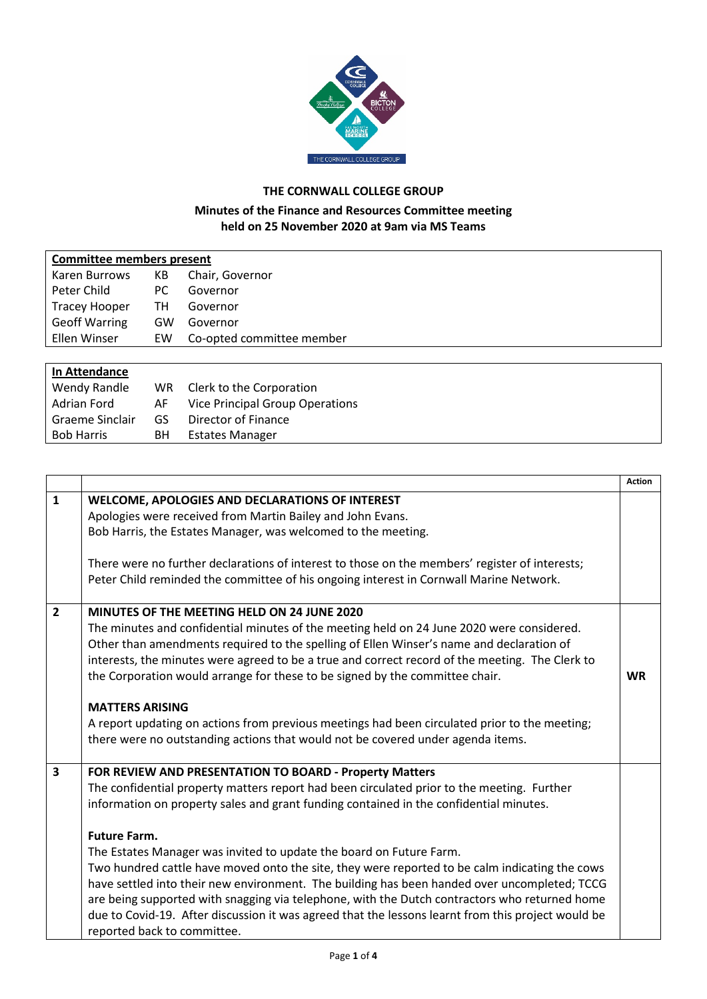

## **THE CORNWALL COLLEGE GROUP**

## **Minutes of the Finance and Resources Committee meeting held on 25 November 2020 at 9am via MS Teams**

| <b>Committee members present</b> |    |                           |  |
|----------------------------------|----|---------------------------|--|
| Karen Burrows                    | KB | Chair, Governor           |  |
| Peter Child                      | PC | Governor                  |  |
| <b>Tracey Hooper</b>             | TН | Governor                  |  |
| <b>Geoff Warring</b>             | GW | Governor                  |  |
| Ellen Winser                     | EW | Co-opted committee member |  |
|                                  |    |                           |  |
| In Attendance                    |    |                           |  |

| Wendy Randle      |     | WR Clerk to the Corporation            |
|-------------------|-----|----------------------------------------|
| Adrian Ford       | AF. | <b>Vice Principal Group Operations</b> |
| Graeme Sinclair   | GS. | Director of Finance                    |
| <b>Bob Harris</b> | BH. | Estates Manager                        |
|                   |     |                                        |

|                |                                                                                                    | <b>Action</b> |
|----------------|----------------------------------------------------------------------------------------------------|---------------|
| $\mathbf{1}$   | WELCOME, APOLOGIES AND DECLARATIONS OF INTEREST                                                    |               |
|                | Apologies were received from Martin Bailey and John Evans.                                         |               |
|                | Bob Harris, the Estates Manager, was welcomed to the meeting.                                      |               |
|                |                                                                                                    |               |
|                | There were no further declarations of interest to those on the members' register of interests;     |               |
|                | Peter Child reminded the committee of his ongoing interest in Cornwall Marine Network.             |               |
|                |                                                                                                    |               |
| $\overline{2}$ | <b>MINUTES OF THE MEETING HELD ON 24 JUNE 2020</b>                                                 |               |
|                | The minutes and confidential minutes of the meeting held on 24 June 2020 were considered.          |               |
|                | Other than amendments required to the spelling of Ellen Winser's name and declaration of           |               |
|                | interests, the minutes were agreed to be a true and correct record of the meeting. The Clerk to    |               |
|                | the Corporation would arrange for these to be signed by the committee chair.                       | <b>WR</b>     |
|                |                                                                                                    |               |
|                | <b>MATTERS ARISING</b>                                                                             |               |
|                | A report updating on actions from previous meetings had been circulated prior to the meeting;      |               |
|                | there were no outstanding actions that would not be covered under agenda items.                    |               |
| 3              | FOR REVIEW AND PRESENTATION TO BOARD - Property Matters                                            |               |
|                | The confidential property matters report had been circulated prior to the meeting. Further         |               |
|                | information on property sales and grant funding contained in the confidential minutes.             |               |
|                |                                                                                                    |               |
|                | <b>Future Farm.</b>                                                                                |               |
|                | The Estates Manager was invited to update the board on Future Farm.                                |               |
|                | Two hundred cattle have moved onto the site, they were reported to be calm indicating the cows     |               |
|                | have settled into their new environment. The building has been handed over uncompleted; TCCG       |               |
|                | are being supported with snagging via telephone, with the Dutch contractors who returned home      |               |
|                | due to Covid-19. After discussion it was agreed that the lessons learnt from this project would be |               |
|                | reported back to committee.                                                                        |               |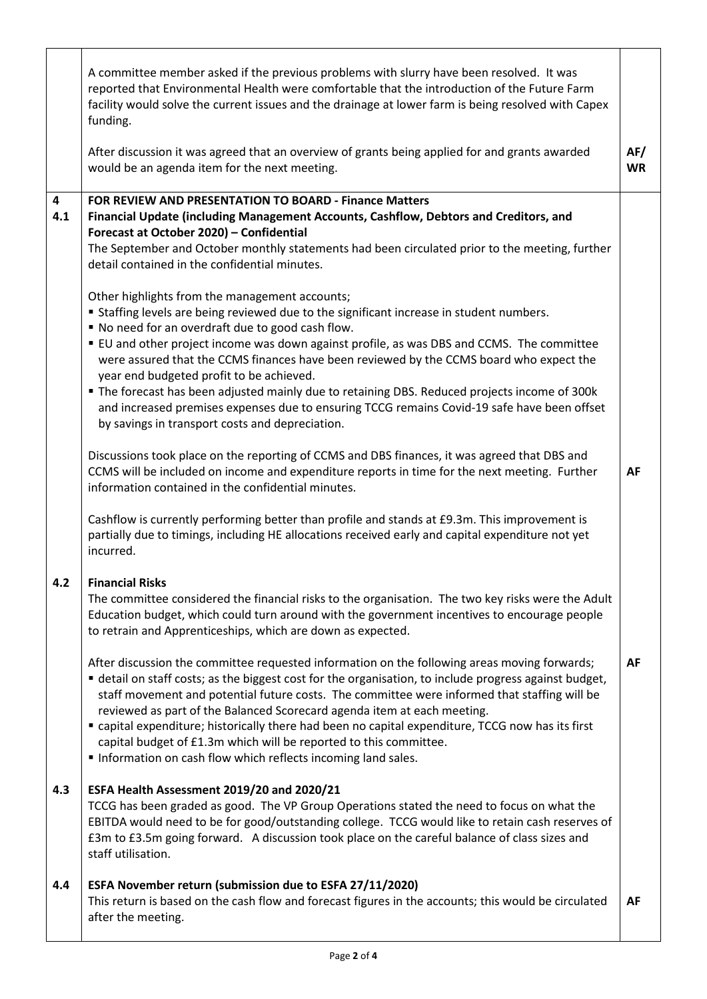|                                | A committee member asked if the previous problems with slurry have been resolved. It was<br>reported that Environmental Health were comfortable that the introduction of the Future Farm<br>facility would solve the current issues and the drainage at lower farm is being resolved with Capex<br>funding.                                                                                                                                                                                                                                                                                                                           |                  |
|--------------------------------|---------------------------------------------------------------------------------------------------------------------------------------------------------------------------------------------------------------------------------------------------------------------------------------------------------------------------------------------------------------------------------------------------------------------------------------------------------------------------------------------------------------------------------------------------------------------------------------------------------------------------------------|------------------|
|                                | After discussion it was agreed that an overview of grants being applied for and grants awarded<br>would be an agenda item for the next meeting.                                                                                                                                                                                                                                                                                                                                                                                                                                                                                       | AF/<br><b>WR</b> |
| $\overline{\mathbf{4}}$<br>4.1 | FOR REVIEW AND PRESENTATION TO BOARD - Finance Matters<br>Financial Update (including Management Accounts, Cashflow, Debtors and Creditors, and<br>Forecast at October 2020) - Confidential<br>The September and October monthly statements had been circulated prior to the meeting, further<br>detail contained in the confidential minutes.<br>Other highlights from the management accounts;                                                                                                                                                                                                                                      |                  |
|                                | " Staffing levels are being reviewed due to the significant increase in student numbers.<br>" No need for an overdraft due to good cash flow.<br>" EU and other project income was down against profile, as was DBS and CCMS. The committee<br>were assured that the CCMS finances have been reviewed by the CCMS board who expect the<br>year end budgeted profit to be achieved.<br>• The forecast has been adjusted mainly due to retaining DBS. Reduced projects income of 300k<br>and increased premises expenses due to ensuring TCCG remains Covid-19 safe have been offset<br>by savings in transport costs and depreciation. |                  |
|                                | Discussions took place on the reporting of CCMS and DBS finances, it was agreed that DBS and<br>CCMS will be included on income and expenditure reports in time for the next meeting. Further<br>information contained in the confidential minutes.<br>Cashflow is currently performing better than profile and stands at £9.3m. This improvement is                                                                                                                                                                                                                                                                                  | AF               |
|                                | partially due to timings, including HE allocations received early and capital expenditure not yet<br>incurred.                                                                                                                                                                                                                                                                                                                                                                                                                                                                                                                        |                  |
| 4.2                            | <b>Financial Risks</b><br>The committee considered the financial risks to the organisation. The two key risks were the Adult<br>Education budget, which could turn around with the government incentives to encourage people<br>to retrain and Apprenticeships, which are down as expected.                                                                                                                                                                                                                                                                                                                                           |                  |
|                                | After discussion the committee requested information on the following areas moving forwards;<br>• detail on staff costs; as the biggest cost for the organisation, to include progress against budget,<br>staff movement and potential future costs. The committee were informed that staffing will be<br>reviewed as part of the Balanced Scorecard agenda item at each meeting.<br>" capital expenditure; historically there had been no capital expenditure, TCCG now has its first<br>capital budget of £1.3m which will be reported to this committee.<br>Information on cash flow which reflects incoming land sales.           | <b>AF</b>        |
| 4.3                            | ESFA Health Assessment 2019/20 and 2020/21<br>TCCG has been graded as good. The VP Group Operations stated the need to focus on what the<br>EBITDA would need to be for good/outstanding college. TCCG would like to retain cash reserves of<br>£3m to £3.5m going forward. A discussion took place on the careful balance of class sizes and<br>staff utilisation.                                                                                                                                                                                                                                                                   |                  |
| 4.4                            | ESFA November return (submission due to ESFA 27/11/2020)<br>This return is based on the cash flow and forecast figures in the accounts; this would be circulated<br>after the meeting.                                                                                                                                                                                                                                                                                                                                                                                                                                                | AF               |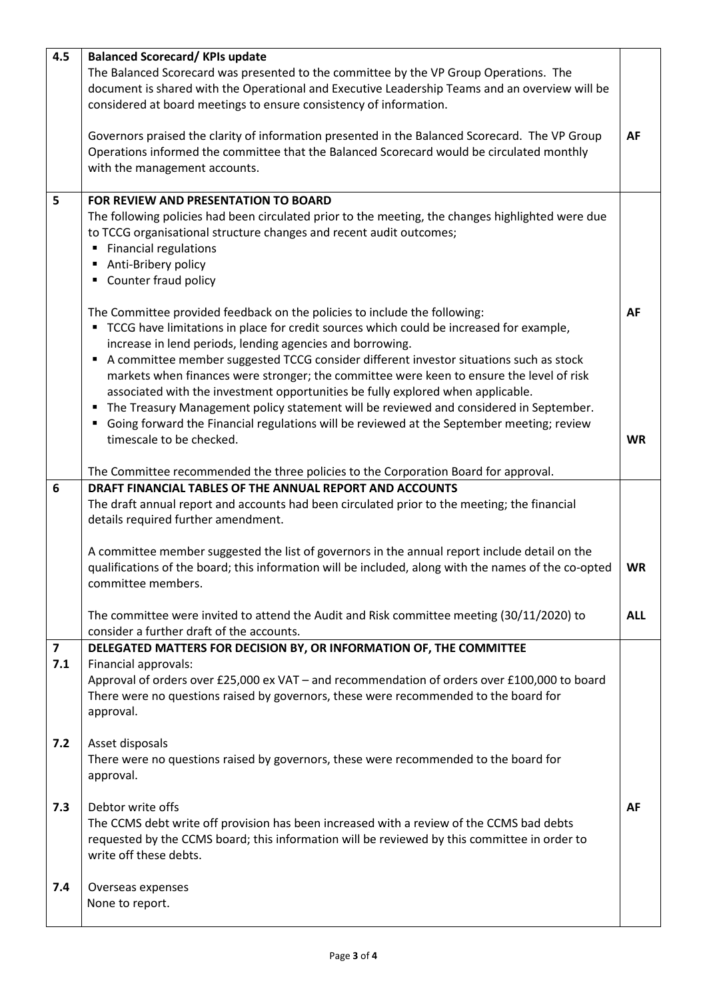| 4.5                            | <b>Balanced Scorecard/KPIs update</b><br>The Balanced Scorecard was presented to the committee by the VP Group Operations. The<br>document is shared with the Operational and Executive Leadership Teams and an overview will be<br>considered at board meetings to ensure consistency of information.<br>Governors praised the clarity of information presented in the Balanced Scorecard. The VP Group<br>Operations informed the committee that the Balanced Scorecard would be circulated monthly<br>with the management accounts.                                                                                                                                                                                                                                                                                                           | <b>AF</b>              |
|--------------------------------|--------------------------------------------------------------------------------------------------------------------------------------------------------------------------------------------------------------------------------------------------------------------------------------------------------------------------------------------------------------------------------------------------------------------------------------------------------------------------------------------------------------------------------------------------------------------------------------------------------------------------------------------------------------------------------------------------------------------------------------------------------------------------------------------------------------------------------------------------|------------------------|
| 5                              | FOR REVIEW AND PRESENTATION TO BOARD<br>The following policies had been circulated prior to the meeting, the changes highlighted were due<br>to TCCG organisational structure changes and recent audit outcomes;<br><b>Financial regulations</b><br>٠<br>Anti-Bribery policy<br>Counter fraud policy<br>٠                                                                                                                                                                                                                                                                                                                                                                                                                                                                                                                                        |                        |
|                                | The Committee provided feedback on the policies to include the following:<br>TCCG have limitations in place for credit sources which could be increased for example,<br>٠<br>increase in lend periods, lending agencies and borrowing.<br>A committee member suggested TCCG consider different investor situations such as stock<br>$\blacksquare$<br>markets when finances were stronger; the committee were keen to ensure the level of risk<br>associated with the investment opportunities be fully explored when applicable.<br>The Treasury Management policy statement will be reviewed and considered in September.<br>٠<br>Going forward the Financial regulations will be reviewed at the September meeting; review<br>timescale to be checked.<br>The Committee recommended the three policies to the Corporation Board for approval. | <b>AF</b><br><b>WR</b> |
| 6                              | DRAFT FINANCIAL TABLES OF THE ANNUAL REPORT AND ACCOUNTS<br>The draft annual report and accounts had been circulated prior to the meeting; the financial<br>details required further amendment.                                                                                                                                                                                                                                                                                                                                                                                                                                                                                                                                                                                                                                                  |                        |
|                                | A committee member suggested the list of governors in the annual report include detail on the<br>qualifications of the board; this information will be included, along with the names of the co-opted<br>committee members.                                                                                                                                                                                                                                                                                                                                                                                                                                                                                                                                                                                                                      | <b>WR</b>              |
|                                | The committee were invited to attend the Audit and Risk committee meeting (30/11/2020) to<br>consider a further draft of the accounts.                                                                                                                                                                                                                                                                                                                                                                                                                                                                                                                                                                                                                                                                                                           | <b>ALL</b>             |
| $\overline{\mathbf{z}}$<br>7.1 | DELEGATED MATTERS FOR DECISION BY, OR INFORMATION OF, THE COMMITTEE<br>Financial approvals:<br>Approval of orders over £25,000 ex VAT - and recommendation of orders over £100,000 to board<br>There were no questions raised by governors, these were recommended to the board for<br>approval.                                                                                                                                                                                                                                                                                                                                                                                                                                                                                                                                                 |                        |
| $7.2$                          | Asset disposals<br>There were no questions raised by governors, these were recommended to the board for<br>approval.                                                                                                                                                                                                                                                                                                                                                                                                                                                                                                                                                                                                                                                                                                                             |                        |
| 7.3                            | Debtor write offs<br>The CCMS debt write off provision has been increased with a review of the CCMS bad debts<br>requested by the CCMS board; this information will be reviewed by this committee in order to<br>write off these debts.                                                                                                                                                                                                                                                                                                                                                                                                                                                                                                                                                                                                          | AF                     |
| 7.4                            | Overseas expenses<br>None to report.                                                                                                                                                                                                                                                                                                                                                                                                                                                                                                                                                                                                                                                                                                                                                                                                             |                        |